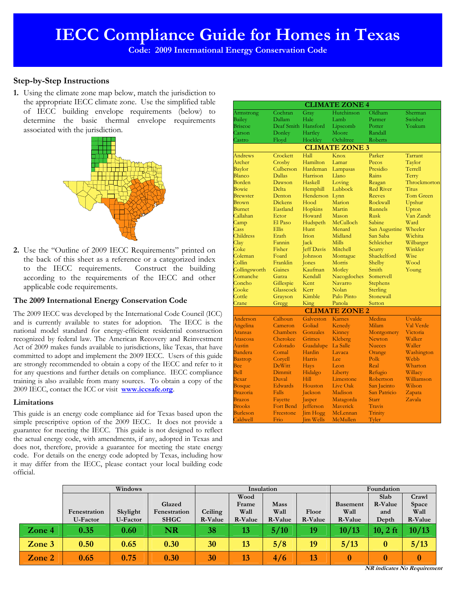**Code: 2009 International Energy Conservation Code** 

# **Step-by-Step Instructions**

**1.** Using the climate zone map below, match the jurisdiction to the appropriate IECC climate zone. Use the simplified table of IECC building envelope requirements (below) to determine the basic thermal envelope requirements associated with the jurisdiction.



**2.** Use the "Outline of 2009 IECC Requirements" printed on the back of this sheet as a reference or a categorized index to the IECC requirements. Construct the building according to the requirements of the IECC and other applicable code requirements.

## **The 2009 International Energy Conservation Code**

The 2009 IECC was developed by the International Code Council (ICC) and is currently available to states for adoption. The IECC is the national model standard for energy-efficient residential construction recognized by federal law. The American Recovery and Reinvestment Act of 2009 makes funds available to jurisdictions, like Texas, that have committed to adopt and implement the 2009 IECC. Users of this guide are strongly recommended to obtain a copy of the IECC and refer to it for any questions and further details on compliance. IECC compliance training is also available from many sources. To obtain a copy of the 2009 IECC, contact the ICC or visit **www.iccsafe.org**.

## **Limitations**

This guide is an energy code compliance aid for Texas based upon the simple prescriptive option of the 2009 IECC. It does not provide a guarantee for meeting the IECC. This guide is not designed to reflect the actual energy code, with amendments, if any, adopted in Texas and does not, therefore, provide a guarantee for meeting the state energy code. For details on the energy code adopted by Texas, including how it may differ from the IECC, please contact your local building code official.

| <b>CLIMATE ZONE 4</b> |                     |                   |                       |                  |                      |  |  |  |  |  |  |  |
|-----------------------|---------------------|-------------------|-----------------------|------------------|----------------------|--|--|--|--|--|--|--|
| Armstrong             | Cochran             | Gray              | Hutchinson            | Oldham           | Sherman              |  |  |  |  |  |  |  |
| Bailey                | Dallam              | Hale              | Lamb                  | Parmer           | Swisher <sup>1</sup> |  |  |  |  |  |  |  |
| Briscoe               | Deaf Smith Hansford |                   | Lipscomb              | Potter           | Yoakum               |  |  |  |  |  |  |  |
| Carson                | Donley              | Hartley           | Moore                 | Randall          |                      |  |  |  |  |  |  |  |
| Castro                | Floyd               | Hockley           | Ochiltree             | Roberts          |                      |  |  |  |  |  |  |  |
|                       |                     |                   | <b>CLIMATE ZONE 3</b> |                  |                      |  |  |  |  |  |  |  |
| Andrews               | Crockett            | Hall              | Knox                  | Parker           | Tarrant              |  |  |  |  |  |  |  |
| Archer                | Crosby              | Hamilton          | Lamar                 | Pecos            | Taylor               |  |  |  |  |  |  |  |
| Baylor                | Culberson           | Hardeman          | Lampasas              | Presidio         | Terrell              |  |  |  |  |  |  |  |
| Blanco                | <b>Dallas</b>       | Harrison          | Llano                 | Rains            | Terry                |  |  |  |  |  |  |  |
| Borden                | Dawson              | Haskell           | Loving                | Reagan           | Throckmorton         |  |  |  |  |  |  |  |
| Bowie                 | <b>Delta</b>        | Hemphill          | Lubbock               | <b>Red River</b> | <b>Titus</b>         |  |  |  |  |  |  |  |
| <b>Brewster</b>       | Denton              | Henderson         | Lynn                  | <b>Reeves</b>    | <b>Tom Green</b>     |  |  |  |  |  |  |  |
| Brown                 | <b>Dickens</b>      | Hood              | Marion                | Rockwall         | Upshur               |  |  |  |  |  |  |  |
| <b>Burnet</b>         | Eastland            | Hopkins           | Martin                | Runnels          | Upton                |  |  |  |  |  |  |  |
| Callahan              | Ector               | Howard            | Mason                 | <b>Rusk</b>      | Van Zandt            |  |  |  |  |  |  |  |
| Camp                  | El Paso             | Hudspeth          | McCulloch             | Sabine           | Ward                 |  |  |  |  |  |  |  |
| Cass                  | <b>Ellis</b>        | Hunt              | Menard                | San Augustine    | Wheeler              |  |  |  |  |  |  |  |
| Childress             | Erath               | Irion             | Midland               | San Saba         | Wichita              |  |  |  |  |  |  |  |
| Clay                  | Fannin              | Jack              | <b>Mills</b>          | Schleicher       | Wilbarger            |  |  |  |  |  |  |  |
| Coke                  | Fisher              | <b>Jeff Davis</b> | Mitchell              | Scurry           | Winkler              |  |  |  |  |  |  |  |
| Coleman               | Foard               | <b>Johnson</b>    | Montague              | Shackelford      | Wise                 |  |  |  |  |  |  |  |
| Collin                | Franklin            | <b>Jones</b>      | Morris                | Shelby           | Wood                 |  |  |  |  |  |  |  |
| Collingsworth         | Gaines              | Kaufman           | Motley                | Smith            | Young                |  |  |  |  |  |  |  |
| Comanche              | Garza               | Kendall           | Nacogdoches           | Somervell        |                      |  |  |  |  |  |  |  |
| Concho                | Gillespie           | Kent              | Navarro               | <b>Stephens</b>  |                      |  |  |  |  |  |  |  |
| Cooke                 | <b>Glasscock</b>    | Kerr              | Nolan                 | Sterling         |                      |  |  |  |  |  |  |  |
| Cottle                | Grayson             | Kimble            | Palo Pinto            | Stonewall        |                      |  |  |  |  |  |  |  |
| Crane                 | Gregg               | King              | Panola                | Sutton           |                      |  |  |  |  |  |  |  |
|                       |                     |                   | <b>CLIMATE ZONE 2</b> |                  |                      |  |  |  |  |  |  |  |
| Anderson              | Calhoun             | Galveston         | Karnes                | Medina           | Uvalde               |  |  |  |  |  |  |  |
| Angelina              | Cameron             | Goliad            | Kenedy                | Milam            | Val Verde            |  |  |  |  |  |  |  |
| Aransas               | <b>Chambers</b>     | Gonzales          | Kinney                | Montgomery       | Victoria             |  |  |  |  |  |  |  |
| Atascosa              | Cherokee            | Grimes            | Kleberg               | Newton           | Walker               |  |  |  |  |  |  |  |
| Austin                | Colorado            | Guadalupe         | La Salle              | <b>Nueces</b>    | Waller               |  |  |  |  |  |  |  |
| Bandera               | Comal               | Hardin            | Lavaca                | Orange           | Washington           |  |  |  |  |  |  |  |
| <b>Bastrop</b>        | Coryell             | Harris            | Lee                   | Polk             | Webb                 |  |  |  |  |  |  |  |
| Bee                   | <b>DeWitt</b>       | <b>Hays</b>       | Leon                  | Real             | Wharton              |  |  |  |  |  |  |  |
| Bell                  | Dimmit              | Hidalgo           | Liberty               | Refugio          | Willacy              |  |  |  |  |  |  |  |
| Bexar                 | Duval               | <b>Hill</b>       | Limestone             | Robertson        | Williamson           |  |  |  |  |  |  |  |
| <b>Bosque</b>         | Edwards             | Houston           | Live Oak              | San Jacinto      | Wilson               |  |  |  |  |  |  |  |
| Brazoria              | Falls               | Jackson           | Madison               | San Patricio     | Zapata               |  |  |  |  |  |  |  |
| <b>Brazos</b>         | Fayette             | Jasper            | Matagorda             | Starr            | Zavala               |  |  |  |  |  |  |  |
| <b>Brooks</b>         | <b>Fort Bend</b>    | <b>Jefferson</b>  | Maverick              | Travis           |                      |  |  |  |  |  |  |  |
| Burleson              | Freestone           | Jim Hogg          | McLennan              | Trinity          |                      |  |  |  |  |  |  |  |
| Caldwell              | Frio                | <b>Jim Wells</b>  | McMullen              | Tyler            |                      |  |  |  |  |  |  |  |
|                       |                     |                   |                       |                  |                      |  |  |  |  |  |  |  |

|        | Windows         |          |              | Insulation |         |             |                | Foundation      |            |          |
|--------|-----------------|----------|--------------|------------|---------|-------------|----------------|-----------------|------------|----------|
|        |                 |          |              |            | Wood    |             |                |                 | Slab       | Crawl    |
|        |                 |          | Glazed       |            | Frame   | <b>Mass</b> |                | <b>Basement</b> | R-Value    | Space    |
|        | Fenestration    | Skylight | Fenestration | Ceiling    | Wall    | Wall        | Floor          | Wall            | and        | Wall     |
|        | <b>U-Factor</b> | U-Factor | <b>SHGC</b>  | R-Value    | R-Value | R-Value     | <b>R-Value</b> | R-Value         | Depth      | R-Value  |
| Zone 4 | 0.35            | 0.60     | <b>NR</b>    | 38         | 13      | 5/10        | 19             | 10/13           | $10, 2$ ft | 10/13    |
| Zone 3 | 0.50            | 0.65     | 0.30         | 30         | 13      | 5/8         | 19             | 5/13            | $\bf{0}$   | 5/13     |
| Zone 2 | 0.65            | 0.75     | 0.30         | 30         | 13      | 4/6         | 13             | $\bf{0}$        | 0          | $\bf{0}$ |

**NR indicates No Requirement**